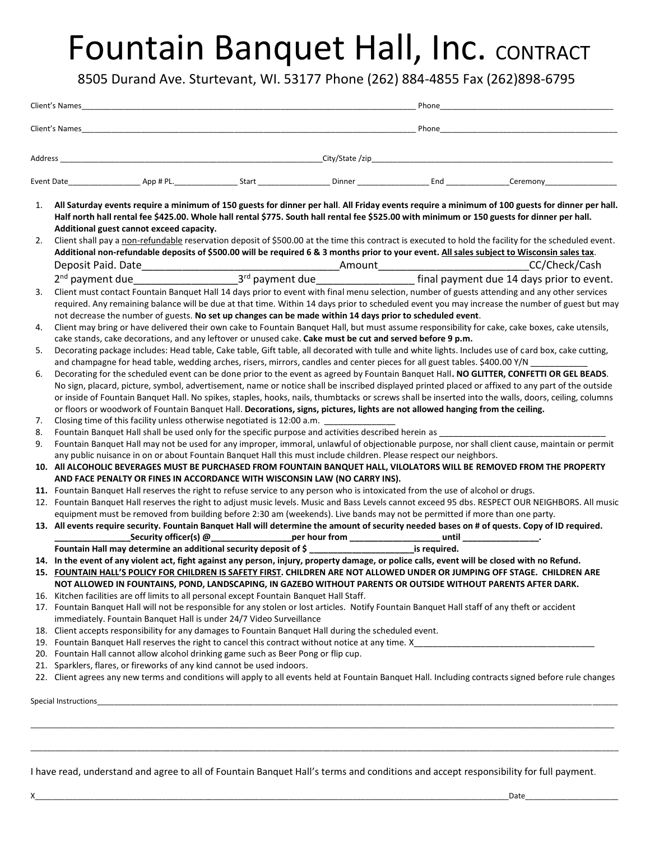## Fountain Banquet Hall, Inc. CONTRACT

8505 Durand Ave. Sturtevant, WI. 53177 Phone (262) 884-4855 Fax (262)898-6795

| Address |                      | <u> 1989 - Johann John Stone, markin film yn y brening yn y brening yn y brening yn y brening yn y brening y bre</u> |                                                                                                                                                                                                  | Phone                                                                                                                                                                                                                                                                                                                                                                                                                                                  |  |  |
|---------|----------------------|----------------------------------------------------------------------------------------------------------------------|--------------------------------------------------------------------------------------------------------------------------------------------------------------------------------------------------|--------------------------------------------------------------------------------------------------------------------------------------------------------------------------------------------------------------------------------------------------------------------------------------------------------------------------------------------------------------------------------------------------------------------------------------------------------|--|--|
|         |                      |                                                                                                                      |                                                                                                                                                                                                  |                                                                                                                                                                                                                                                                                                                                                                                                                                                        |  |  |
|         |                      |                                                                                                                      |                                                                                                                                                                                                  |                                                                                                                                                                                                                                                                                                                                                                                                                                                        |  |  |
|         |                      |                                                                                                                      |                                                                                                                                                                                                  |                                                                                                                                                                                                                                                                                                                                                                                                                                                        |  |  |
| 1.      |                      | Additional guest cannot exceed capacity.                                                                             |                                                                                                                                                                                                  | All Saturday events require a minimum of 150 guests for dinner per hall. All Friday events require a minimum of 100 guests for dinner per hall.<br>Half north hall rental fee \$425.00. Whole hall rental \$775. South hall rental fee \$525.00 with minimum or 150 guests for dinner per hall.                                                                                                                                                        |  |  |
| 2.      |                      |                                                                                                                      |                                                                                                                                                                                                  | Client shall pay a non-refundable reservation deposit of \$500.00 at the time this contract is executed to hold the facility for the scheduled event.<br>Additional non-refundable deposits of \$500.00 will be required 6 & 3 months prior to your event. All sales subject to Wisconsin sales tax.                                                                                                                                                   |  |  |
|         |                      |                                                                                                                      |                                                                                                                                                                                                  |                                                                                                                                                                                                                                                                                                                                                                                                                                                        |  |  |
| 3.      |                      |                                                                                                                      | not decrease the number of guests. No set up changes can be made within 14 days prior to scheduled event.                                                                                        | Client must contact Fountain Banquet Hall 14 days prior to event with final menu selection, number of guests attending and any other services<br>required. Any remaining balance will be due at that time. Within 14 days prior to scheduled event you may increase the number of guest but may                                                                                                                                                        |  |  |
| 4.      |                      |                                                                                                                      | cake stands, cake decorations, and any leftover or unused cake. Cake must be cut and served before 9 p.m.                                                                                        | Client may bring or have delivered their own cake to Fountain Banquet Hall, but must assume responsibility for cake, cake boxes, cake utensils,                                                                                                                                                                                                                                                                                                        |  |  |
| 5.      |                      |                                                                                                                      | and champagne for head table, wedding arches, risers, mirrors, candles and center pieces for all guest tables. \$400.00 Y/N                                                                      | Decorating package includes: Head table, Cake table, Gift table, all decorated with tulle and white lights. Includes use of card box, cake cutting,                                                                                                                                                                                                                                                                                                    |  |  |
| 6.      |                      |                                                                                                                      | or floors or woodwork of Fountain Banquet Hall. Decorations, signs, pictures, lights are not allowed hanging from the ceiling.                                                                   | Decorating for the scheduled event can be done prior to the event as agreed by Fountain Banquet Hall. NO GLITTER, CONFETTI OR GEL BEADS.<br>No sign, placard, picture, symbol, advertisement, name or notice shall be inscribed displayed printed placed or affixed to any part of the outside<br>or inside of Fountain Banquet Hall. No spikes, staples, hooks, nails, thumbtacks or screws shall be inserted into the walls, doors, ceiling, columns |  |  |
| 7.      |                      |                                                                                                                      | Closing time of this facility unless otherwise negotiated is 12:00 a.m. _________                                                                                                                |                                                                                                                                                                                                                                                                                                                                                                                                                                                        |  |  |
| 8.      |                      |                                                                                                                      | Fountain Banquet Hall shall be used only for the specific purpose and activities described herein as                                                                                             |                                                                                                                                                                                                                                                                                                                                                                                                                                                        |  |  |
| 9.      |                      |                                                                                                                      |                                                                                                                                                                                                  | Fountain Banquet Hall may not be used for any improper, immoral, unlawful of objectionable purpose, nor shall client cause, maintain or permit                                                                                                                                                                                                                                                                                                         |  |  |
|         |                      |                                                                                                                      | any public nuisance in on or about Fountain Banquet Hall this must include children. Please respect our neighbors.<br>AND FACE PENALTY OR FINES IN ACCORDANCE WITH WISCONSIN LAW (NO CARRY INS). | 10. All ALCOHOLIC BEVERAGES MUST BE PURCHASED FROM FOUNTAIN BANQUET HALL, VILOLATORS WILL BE REMOVED FROM THE PROPERTY                                                                                                                                                                                                                                                                                                                                 |  |  |
|         |                      |                                                                                                                      | 11. Fountain Banquet Hall reserves the right to refuse service to any person who is intoxicated from the use of alcohol or drugs.                                                                |                                                                                                                                                                                                                                                                                                                                                                                                                                                        |  |  |
|         |                      |                                                                                                                      | equipment must be removed from building before 2:30 am (weekends). Live bands may not be permitted if more than one party.                                                                       | 12. Fountain Banquet Hall reserves the right to adjust music levels. Music and Bass Levels cannot exceed 95 dbs. RESPECT OUR NEIGHBORS. All music                                                                                                                                                                                                                                                                                                      |  |  |
|         |                      |                                                                                                                      |                                                                                                                                                                                                  | 13. All events require security. Fountain Banquet Hall will determine the amount of security needed bases on # of quests. Copy of ID required.                                                                                                                                                                                                                                                                                                         |  |  |
|         |                      |                                                                                                                      |                                                                                                                                                                                                  |                                                                                                                                                                                                                                                                                                                                                                                                                                                        |  |  |
|         |                      |                                                                                                                      | Fountain Hall may determine an additional security deposit of \$ ___________________________is required.                                                                                         |                                                                                                                                                                                                                                                                                                                                                                                                                                                        |  |  |
|         |                      |                                                                                                                      |                                                                                                                                                                                                  | 14. In the event of any violent act, fight against any person, injury, property damage, or police calls, event will be closed with no Refund.<br>15. FOUNTAIN HALL'S POLICY FOR CHILDREN IS SAFETY FIRST. CHILDREN ARE NOT ALLOWED UNDER OR JUMPING OFF STAGE. CHILDREN ARE                                                                                                                                                                            |  |  |
|         |                      |                                                                                                                      |                                                                                                                                                                                                  | NOT ALLOWED IN FOUNTAINS, POND, LANDSCAPING, IN GAZEBO WITHOUT PARENTS OR OUTSIDE WITHOUT PARENTS AFTER DARK.                                                                                                                                                                                                                                                                                                                                          |  |  |
|         |                      | 16. Kitchen facilities are off limits to all personal except Fountain Banquet Hall Staff.                            |                                                                                                                                                                                                  | 17. Fountain Banquet Hall will not be responsible for any stolen or lost articles. Notify Fountain Banquet Hall staff of any theft or accident                                                                                                                                                                                                                                                                                                         |  |  |
|         |                      | immediately. Fountain Banquet Hall is under 24/7 Video Surveillance                                                  |                                                                                                                                                                                                  |                                                                                                                                                                                                                                                                                                                                                                                                                                                        |  |  |
|         |                      |                                                                                                                      | 18. Client accepts responsibility for any damages to Fountain Banquet Hall during the scheduled event.                                                                                           |                                                                                                                                                                                                                                                                                                                                                                                                                                                        |  |  |
|         |                      |                                                                                                                      |                                                                                                                                                                                                  |                                                                                                                                                                                                                                                                                                                                                                                                                                                        |  |  |
|         |                      | 20. Fountain Hall cannot allow alcohol drinking game such as Beer Pong or flip cup.                                  |                                                                                                                                                                                                  |                                                                                                                                                                                                                                                                                                                                                                                                                                                        |  |  |
|         |                      | 21. Sparklers, flares, or fireworks of any kind cannot be used indoors.                                              |                                                                                                                                                                                                  |                                                                                                                                                                                                                                                                                                                                                                                                                                                        |  |  |
|         |                      |                                                                                                                      |                                                                                                                                                                                                  | 22. Client agrees any new terms and conditions will apply to all events held at Fountain Banquet Hall. Including contracts signed before rule changes                                                                                                                                                                                                                                                                                                  |  |  |
|         | Special Instructions |                                                                                                                      | <u> 1989 - Johann Stoff, amerikansk politiker (d. 1989)</u>                                                                                                                                      |                                                                                                                                                                                                                                                                                                                                                                                                                                                        |  |  |

I have read, understand and agree to all of Fountain Banquet Hall's terms and conditions and accept responsibility for full payment.

\_\_\_\_\_\_\_\_\_\_\_\_\_\_\_\_\_\_\_\_\_\_\_\_\_\_\_\_\_\_\_\_\_\_\_\_\_\_\_\_\_\_\_\_\_\_\_\_\_\_\_\_\_\_\_\_\_\_\_\_\_\_\_\_\_\_\_\_\_\_\_\_\_\_\_\_\_\_\_\_\_\_\_\_\_\_\_\_\_\_\_\_\_\_\_\_\_\_\_\_\_\_\_\_\_\_\_\_\_\_\_\_\_\_\_\_\_\_\_\_\_\_\_\_\_\_\_\_\_\_\_\_\_\_\_\_\_\_\_